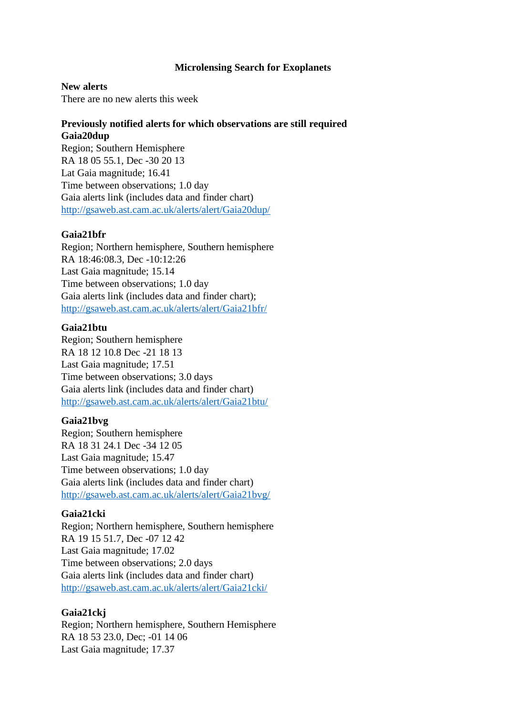## **Microlensing Search for Exoplanets**

#### **New alerts**

There are no new alerts this week

# **Previously notified alerts for which observations are still required Gaia20dup**

Region; Southern Hemisphere RA 18 05 55.1, Dec -30 20 13 Lat Gaia magnitude; 16.41 Time between observations; 1.0 day Gaia alerts link (includes data and finder chart) <http://gsaweb.ast.cam.ac.uk/alerts/alert/Gaia20dup/>

## **Gaia21bfr**

Region; Northern hemisphere, Southern hemisphere RA 18:46:08.3, Dec -10:12:26 Last Gaia magnitude; 15.14 Time between observations; 1.0 day Gaia alerts link (includes data and finder chart); <http://gsaweb.ast.cam.ac.uk/alerts/alert/Gaia21bfr/>

#### **Gaia21btu**

Region; Southern hemisphere RA 18 12 10.8 Dec -21 18 13 Last Gaia magnitude; 17.51 Time between observations; 3.0 days Gaia alerts link (includes data and finder chart) <http://gsaweb.ast.cam.ac.uk/alerts/alert/Gaia21btu/>

#### **Gaia21bvg**

Region; Southern hemisphere RA 18 31 24.1 Dec -34 12 05 Last Gaia magnitude; 15.47 Time between observations; 1.0 day Gaia alerts link (includes data and finder chart) <http://gsaweb.ast.cam.ac.uk/alerts/alert/Gaia21bvg/>

#### **Gaia21cki**

Region; Northern hemisphere, Southern hemisphere RA 19 15 51.7, Dec -07 12 42 Last Gaia magnitude; 17.02 Time between observations; 2.0 days Gaia alerts link (includes data and finder chart) <http://gsaweb.ast.cam.ac.uk/alerts/alert/Gaia21cki/>

#### **Gaia21ckj**

Region; Northern hemisphere, Southern Hemisphere RA 18 53 23.0, Dec; -01 14 06 Last Gaia magnitude; 17.37